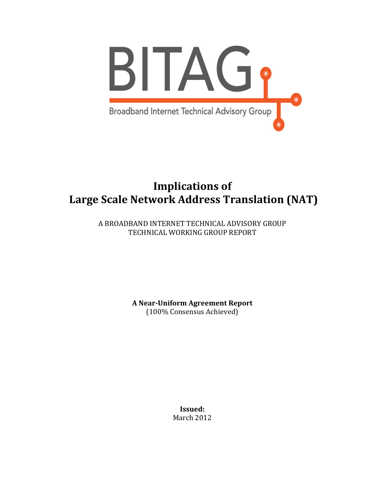

# **Implications of** Large Scale Network Address Translation (NAT)

A BROADBAND INTERNET TECHNICAL ADVISORY GROUP TECHNICAL WORKING GROUP REPORT

> **A!Near;Uniform!Agreement!Report** (100% Consensus Achieved)

> > **Issued:** March 2012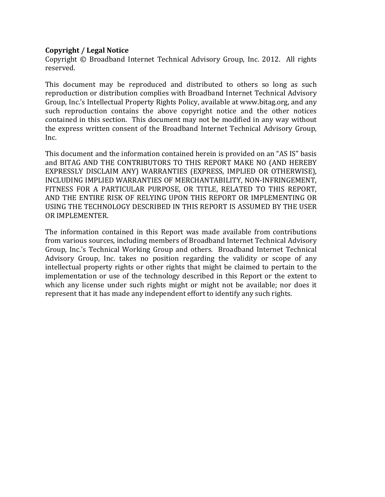#### **Copyright / Legal Notice**

Copyright © Broadband Internet Technical Advisory Group, Inc. 2012. All rights reserved.

This document may be reproduced and distributed to others so long as such reproduction or distribution complies with Broadband Internet Technical Advisory Group, Inc.'s Intellectual Property Rights Policy, available at www.bitag.org, and any such reproduction contains the above copyright notice and the other notices contained in this section. This document may not be modified in any way without the express written consent of the Broadband Internet Technical Advisory Group, Inc.

This document and the information contained herein is provided on an "AS IS" basis and BITAG AND THE CONTRIBUTORS TO THIS REPORT MAKE NO (AND HEREBY EXPRESSLY DISCLAIM ANY) WARRANTIES (EXPRESS, IMPLIED OR OTHERWISE), INCLUDING IMPLIED WARRANTIES OF MERCHANTABILITY, NON-INFRINGEMENT, FITNESS FOR A PARTICULAR PURPOSE, OR TITLE, RELATED TO THIS REPORT, AND THE ENTIRE RISK OF RELYING UPON THIS REPORT OR IMPLEMENTING OR USING THE TECHNOLOGY DESCRIBED IN THIS REPORT IS ASSUMED BY THE USER OR IMPLEMENTER.

The information contained in this Report was made available from contributions from various sources, including members of Broadband Internet Technical Advisory Group, Inc.'s Technical Working Group and others. Broadband Internet Technical Advisory Group, Inc. takes no position regarding the validity or scope of any intellectual property rights or other rights that might be claimed to pertain to the implementation or use of the technology described in this Report or the extent to which any license under such rights might or might not be available; nor does it represent that it has made any independent effort to identify any such rights.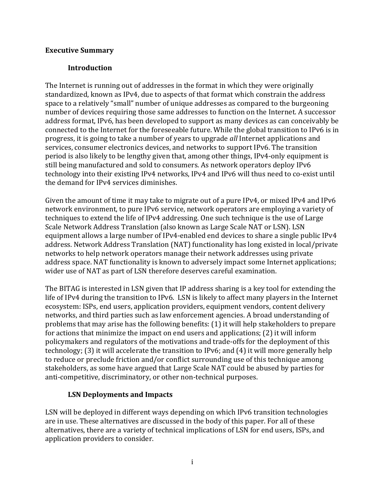#### **Executive Summary**

#### **Introduction**

The Internet is running out of addresses in the format in which they were originally standardized, known as IPv4, due to aspects of that format which constrain the address space to a relatively "small" number of unique addresses as compared to the burgeoning number of devices requiring those same addresses to function on the Internet. A successor address format, IPv6, has been developed to support as many devices as can conceivably be connected to the Internet for the foreseeable future. While the global transition to IPv6 is in progress, it is going to take a number of years to upgrade *all* Internet applications and services, consumer electronics devices, and networks to support IPv6. The transition period is also likely to be lengthy given that, among other things, IPv4-only equipment is still being manufactured and sold to consumers. As network operators deploy IPv6" technology into their existing IPv4 networks, IPv4 and IPv6 will thus need to co-exist until the demand for IPv4 services diminishes.

Given the amount of time it may take to migrate out of a pure IPv4, or mixed IPv4 and IPv6 network environment, to pure IPv6 service, network operators are employing a variety of techniques to extend the life of IPv4 addressing. One such technique is the use of Large Scale Network Address Translation (also known as Large Scale NAT or LSN). LSN equipment allows a large number of IPv4-enabled end devices to share a single public IPv4 address. Network Address Translation (NAT) functionality has long existed in local/private networks to help network operators manage their network addresses using private address space. NAT functionality is known to adversely impact some Internet applications; wider use of NAT as part of LSN therefore deserves careful examination.

The BITAG is interested in LSN given that IP address sharing is a key tool for extending the life of IPv4 during the transition to IPv6. LSN is likely to affect many players in the Internet ecosystem: ISPs, end users, application providers, equipment vendors, content delivery networks, and third parties such as law enforcement agencies. A broad understanding of problems that may arise has the following benefits: (1) it will help stakeholders to prepare for actions that minimize the impact on end users and applications;  $(2)$  it will inform policymakers and regulators of the motivations and trade-offs for the deployment of this technology; (3) it will accelerate the transition to IPv6; and (4) it will more generally help to reduce or preclude friction and/or conflict surrounding use of this technique among stakeholders, as some have argued that Large Scale NAT could be abused by parties for anti-competitive, discriminatory, or other non-technical purposes.

#### **LSN!Deployments!and!Impacts**

LSN will be deployed in different ways depending on which IPv6 transition technologies are in use. These alternatives are discussed in the body of this paper. For all of these alternatives, there are a variety of technical implications of LSN for end users, ISPs, and application providers to consider.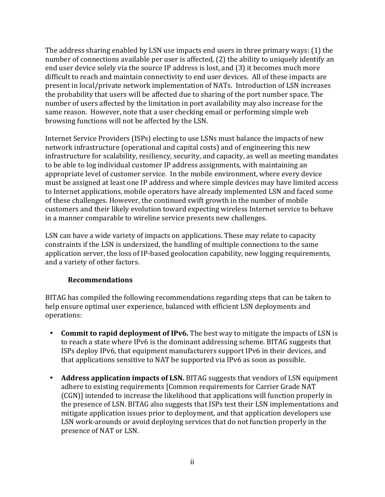The address sharing enabled by LSN use impacts end users in three primary ways: (1) the number of connections available per user is affected, (2) the ability to uniquely identify an end user device solely via the source IP address is lost, and (3) it becomes much more difficult to reach and maintain connectivity to end user devices. All of these impacts are present in local/private network implementation of NATs. Introduction of LSN increases the probability that users will be affected due to sharing of the port number space. The number of users affected by the limitation in port availability may also increase for the same reason. However, note that a user checking email or performing simple web browsing functions will not be affected by the LSN.

Internet Service Providers (ISPs) electing to use LSNs must balance the impacts of new network infrastructure (operational and capital costs) and of engineering this new infrastructure for scalability, resiliency, security, and capacity, as well as meeting mandates to be able to log individual customer IP address assignments, with maintaining an appropriate level of customer service. In the mobile environment, where every device must be assigned at least one IP address and where simple devices may have limited access to Internet applications, mobile operators have already implemented LSN and faced some of these challenges. However, the continued swift growth in the number of mobile" customers and their likely evolution toward expecting wireless Internet service to behave in a manner comparable to wireline service presents new challenges.

LSN can have a wide variety of impacts on applications. These may relate to capacity constraints if the LSN is undersized, the handling of multiple connections to the same application server, the loss of IP-based geolocation capability, new logging requirements, and a variety of other factors.

#### **Recommendations**

BITAG has compiled the following recommendations regarding steps that can be taken to" help ensure optimal user experience, balanced with efficient LSN deployments and operations:

- **Commit to rapid deployment of IPv6.** The best way to mitigate the impacts of LSN is to reach a state where IPv6 is the dominant addressing scheme. BITAG suggests that ISPs deploy IPv6, that equipment manufacturers support IPv6 in their devices, and that applications sensitive to NAT be supported via IPv6 as soon as possible.
- **Address application impacts of LSN.** BITAG suggests that vendors of LSN equipment adhere to existing requirements [Common requirements for Carrier Grade NAT"] (CGN)] intended to increase the likelihood that applications will function properly in the presence of LSN. BITAG also suggests that ISPs test their LSN implementations and mitigate application issues prior to deployment, and that application developers use LSN work-arounds or avoid deploying services that do not function properly in the presence of NAT or LSN.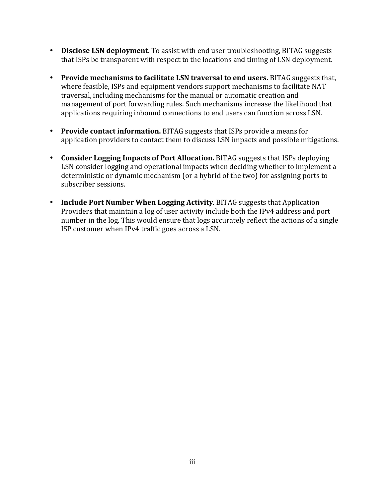- **Disclose LSN deployment.** To assist with end user troubleshooting, BITAG suggests that ISPs be transparent with respect to the locations and timing of LSN deployment.
- **Provide mechanisms to facilitate LSN traversal to end users.** BITAG suggests that, where feasible, ISPs and equipment vendors support mechanisms to facilitate NAT traversal, including mechanisms for the manual or automatic creation and management of port forwarding rules. Such mechanisms increase the likelihood that applications requiring inbound connections to end users can function across LSN.
- **Provide contact information.** BITAG suggests that ISPs provide a means for application providers to contact them to discuss LSN impacts and possible mitigations.
- Consider Logging Impacts of Port Allocation. BITAG suggests that ISPs deploying LSN consider logging and operational impacts when deciding whether to implement a deterministic or dynamic mechanism (or a hybrid of the two) for assigning ports to subscriber sessions.
- **Include Port Number When Logging Activity**. BITAG suggests that Application Providers that maintain a log of user activity include both the IPv4 address and port number in the log. This would ensure that logs accurately reflect the actions of a single ISP customer when IPv4 traffic goes across a LSN.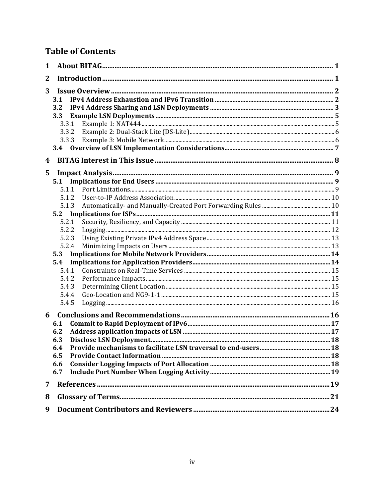## **Table of Contents**

| $\mathbf{1}$     |       |  |  |  |
|------------------|-------|--|--|--|
| $\boldsymbol{2}$ |       |  |  |  |
| 3                |       |  |  |  |
|                  | 3.1   |  |  |  |
|                  | 3.2   |  |  |  |
|                  | 3.3   |  |  |  |
|                  | 3.3.1 |  |  |  |
|                  | 3.3.2 |  |  |  |
|                  | 3.3.3 |  |  |  |
|                  |       |  |  |  |
| 4                |       |  |  |  |
| 5                |       |  |  |  |
|                  | 5.1   |  |  |  |
|                  | 5.1.1 |  |  |  |
|                  | 5.1.2 |  |  |  |
|                  | 5.1.3 |  |  |  |
|                  | 5.2   |  |  |  |
|                  | 5.2.1 |  |  |  |
|                  | 5.2.2 |  |  |  |
|                  | 5.2.3 |  |  |  |
|                  | 5.2.4 |  |  |  |
|                  | 5.3   |  |  |  |
|                  | 5.4   |  |  |  |
|                  | 5.4.1 |  |  |  |
|                  | 5.4.2 |  |  |  |
|                  | 5.4.3 |  |  |  |
|                  | 5.4.4 |  |  |  |
|                  | 5.4.5 |  |  |  |
| 6                |       |  |  |  |
|                  | 6.1   |  |  |  |
|                  | 6.2   |  |  |  |
|                  | 6.3   |  |  |  |
|                  | 6.4   |  |  |  |
|                  | 6.5   |  |  |  |
|                  | 6.6   |  |  |  |
|                  | 6.7   |  |  |  |
| 7                |       |  |  |  |
| 8                |       |  |  |  |
| 9                |       |  |  |  |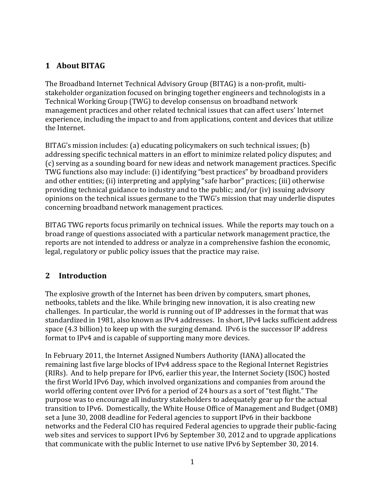## 1 **About BITAG**

The Broadband Internet Technical Advisory Group (BITAG) is a non-profit, multistakeholder organization focused on bringing together engineers and technologists in a Technical Working Group (TWG) to develop consensus on broadband network management practices and other related technical issues that can affect users' Internet experience, including the impact to and from applications, content and devices that utilize the Internet.

 $BITAG's mission includes: (a) education produces: (a) and the policy makes a such technical issues; (b)$ addressing specific technical matters in an effort to minimize related policy disputes; and (c) serving as a sounding board for new ideas and network management practices. Specific TWG functions also may include: (i) identifying "best practices" by broadband providers and other entities; (ii) interpreting and applying "safe harbor" practices; (iii) otherwise providing technical guidance to industry and to the public; and/or (iv) issuing advisory opinions on the technical issues germane to the TWG's mission that may underlie disputes concerning broadband network management practices.

BITAG TWG reports focus primarily on technical issues. While the reports may touch on a broad range of questions associated with a particular network management practice, the reports are not intended to address or analyze in a comprehensive fashion the economic, legal, regulatory or public policy issues that the practice may raise.

## **2 Introduction**

The explosive growth of the Internet has been driven by computers, smart phones, netbooks, tablets and the like. While bringing new innovation, it is also creating new challenges. In particular, the world is running out of IP addresses in the format that was standardized in 1981, also known as IPv4 addresses. In short, IPv4 lacks sufficient address space  $(4.3 \text{ billion})$  to keep up with the surging demand. IPv6 is the successor IP address format to IPv4 and is capable of supporting many more devices.

In February 2011, the Internet Assigned Numbers Authority (IANA) allocated the remaining last five large blocks of IPv4 address space to the Regional Internet Registries (RIRs). And to help prepare for IPv6, earlier this year, the Internet Society (ISOC) hosted the first World IPv6 Day, which involved organizations and companies from around the world offering content over IPv6 for a period of 24 hours as a sort of "test flight." The purpose was to encourage all industry stakeholders to adequately gear up for the actual transition to IPv6. Domestically, the White House Office of Management and Budget (OMB) set a June 30, 2008 deadline for Federal agencies to support IPv6 in their backbone networks and the Federal CIO has required Federal agencies to upgrade their public-facing web sites and services to support IPv6 by September 30, 2012 and to upgrade applications that communicate with the public Internet to use native IPv6 by September 30, 2014.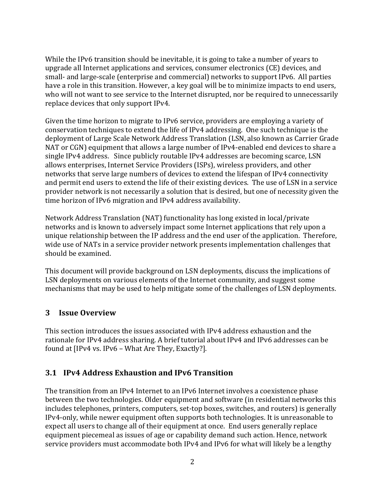While the IPv6 transition should be inevitable, it is going to take a number of years to upgrade all Internet applications and services, consumer electronics (CE) devices, and small- and large-scale (enterprise and commercial) networks to support IPv6. All parties have a role in this transition. However, a key goal will be to minimize impacts to end users, who will not want to see service to the Internet disrupted, nor be required to unnecessarily replace devices that only support IPv4.

Given the time horizon to migrate to IPv6 service, providers are employing a variety of conservation techniques to extend the life of IPv4 addressing. One such technique is the deployment of Large Scale Network Address Translation (LSN, also known as Carrier Grade NAT or CGN) equipment that allows a large number of IPv4-enabled end devices to share a single IPv4 address. Since publicly routable IPv4 addresses are becoming scarce, LSN allows enterprises, Internet Service Providers (ISPs), wireless providers, and other networks that serve large numbers of devices to extend the lifespan of IPv4 connectivity and permit end users to extend the life of their existing devices. The use of LSN in a service provider network is not necessarily a solution that is desired, but one of necessity given the time horizon of IPv6 migration and IPv4 address availability.

Network Address Translation (NAT) functionality has long existed in local/private networks and is known to adversely impact some Internet applications that rely upon a unique relationship between the IP address and the end user of the application. Therefore, wide use of NATs in a service provider network presents implementation challenges that should be examined.

This document will provide background on LSN deployments, discuss the implications of LSN deployments on various elements of the Internet community, and suggest some mechanisms that may be used to help mitigate some of the challenges of LSN deployments.

## **3 Issue!Overview**

This section introduces the issues associated with  $IPv4$  address exhaustion and the rationale for IPv4 address sharing. A brief tutorial about IPv4 and IPv6 addresses can be found at [IPv4 vs. IPv6 – What Are They, Exactly?].

## **3.1 IPv4!Address!Exhaustion!and!IPv6!Transition**

The transition from an IPv4 Internet to an IPv6 Internet involves a coexistence phase between the two technologies. Older equipment and software (in residential networks this includes telephones, printers, computers, set-top boxes, switches, and routers) is generally IPv4-only, while newer equipment often supports both technologies. It is unreasonable to expect all users to change all of their equipment at once. End users generally replace equipment piecemeal as issues of age or capability demand such action. Hence, network service providers must accommodate both IPv4 and IPv6 for what will likely be a lengthy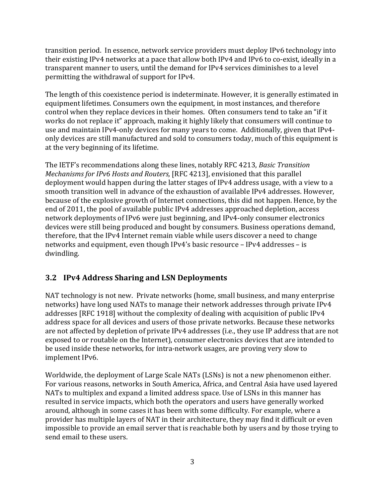transition period. In essence, network service providers must deploy IPv6 technology into their existing IPv4 networks at a pace that allow both IPv4 and IPv6 to co-exist, ideally in a transparent manner to users, until the demand for IPv4 services diminishes to a level permitting the withdrawal of support for IPv4.

The length of this coexistence period is indeterminate. However, it is generally estimated in equipment lifetimes. Consumers own the equipment, in most instances, and therefore control when they replace devices in their homes. Often consumers tend to take an "if it" works do not replace it" approach, making it highly likely that consumers will continue to use and maintain IPv4-only devices for many years to come. Additionally, given that IPv4only devices are still manufactured and sold to consumers today, much of this equipment is at the very beginning of its lifetime.

The IETF's recommendations along these lines, notably RFC 4213, *Basic Transition Mechanisms for IPv6 Hosts and Routers,* [RFC 4213], envisioned that this parallel deployment would happen during the latter stages of IPv4 address usage, with a view to a smooth transition well in advance of the exhaustion of available IPv4 addresses. However, because of the explosive growth of Internet connections, this did not happen. Hence, by the end of 2011, the pool of available public IPv4 addresses approached depletion, access network deployments of IPv6 were just beginning, and IPv4-only consumer electronics devices were still being produced and bought by consumers. Business operations demand, therefore, that the IPv4 Internet remain viable while users discover a need to change networks and equipment, even though IPv4's basic resource – IPv4 addresses – is" dwindling.

## **3.2 IPv4 Address Sharing and LSN Deployments**

NAT technology is not new. Private networks (home, small business, and many enterprise networks) have long used NATs to manage their network addresses through private IPv4 addresses [RFC 1918] without the complexity of dealing with acquisition of public IPv4 address space for all devices and users of those private networks. Because these networks are not affected by depletion of private IPv4 addresses (i.e., they use IP address that are not exposed to or routable on the Internet), consumer electronics devices that are intended to be used inside these networks, for intra-network usages, are proving very slow to implement IPv6.

Worldwide, the deployment of Large Scale NATs (LSNs) is not a new phenomenon either. For various reasons, networks in South America, Africa, and Central Asia have used layered NATs to multiplex and expand a limited address space. Use of LSNs in this manner has resulted in service impacts, which both the operators and users have generally worked around, although in some cases it has been with some difficulty. For example, where a provider has multiple layers of NAT in their architecture, they may find it difficult or even impossible to provide an email server that is reachable both by users and by those trying to send email to these users.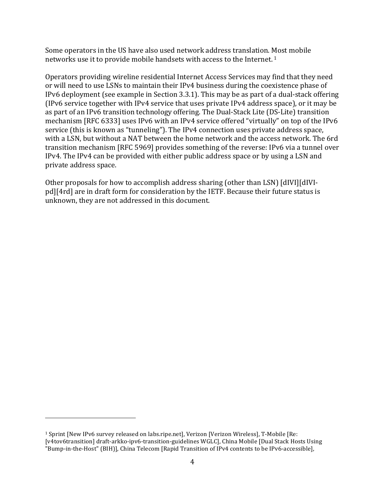Some operators in the US have also used network address translation. Most mobile networks use it to provide mobile handsets with access to the Internet.<sup>1</sup>

Operators providing wireline residential Internet Access Services may find that they need or will need to use LSNs to maintain their IPv4 business during the coexistence phase of IPv6 deployment (see example in Section 3.3.1). This may be as part of a dual-stack offering (IPv6 service together with IPv4 service that uses private IPv4 address space), or it may be as part of an IPv6 transition technology offering. The Dual-Stack Lite (DS-Lite) transition mechanism [RFC 6333] uses IPv6 with an IPv4 service offered "virtually" on top of the IPv6 service (this is known as "tunneling"). The IPv4 connection uses private address space, with a LSN, but without a NAT between the home network and the access network. The 6rd transition mechanism [RFC 5969] provides something of the reverse: IPv6 via a tunnel over IPv4. The IPv4 can be provided with either public address space or by using a LSN and private address space.

Other proposals for how to accomplish address sharing (other than LSN) [dIVI][dIVIpd][4rd] are in draft form for consideration by the IETF. Because their future status is unknown, they are not addressed in this document.

"""""""""""""""""""""""""""""""""""""""""""""""""""""""

<sup>&</sup>lt;sup>1</sup> Sprint [New IPv6 survey released on labs.ripe.net], Verizon [Verizon Wireless], T-Mobile [Re: [v4tov6transition] draft-arkko-ipv6-transition-guidelines WGLC], China Mobile [Dual Stack Hosts Using"] "Bump-in-the-Host" (BIH)], China Telecom [Rapid Transition of IPv4 contents to be IPv6-accessible],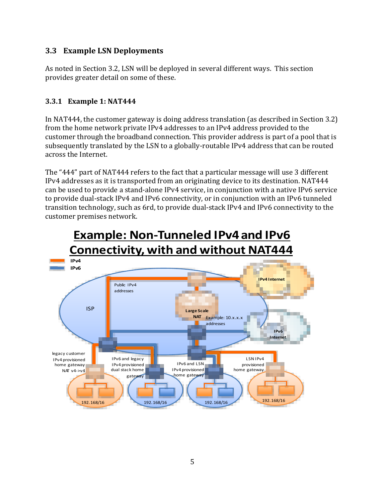## **3.3 Example LSN Deployments**

As noted in Section 3.2, LSN will be deployed in several different ways. This section provides greater detail on some of these.

## **3.3.1 Example 1: NAT444**

In NAT444, the customer gateway is doing address translation (as described in Section 3.2) from the home network private IPv4 addresses to an IPv4 address provided to the customer through the broadband connection. This provider address is part of a pool that is subsequently translated by the LSN to a globally-routable IPv4 address that can be routed across the Internet.

The "444" part of NAT444 refers to the fact that a particular message will use 3 different IPv4 addresses as it is transported from an originating device to its destination. NAT444 can be used to provide a stand-alone IPv4 service, in conjunction with a native IPv6 service to provide dual-stack IPv4 and IPv6 connectivity, or in conjunction with an IPv6 tunneled transition technology, such as 6rd, to provide dual-stack IPv4 and IPv6 connectivity to the customer premises network.

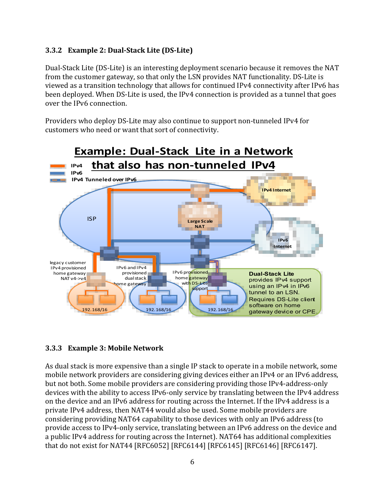#### **3.3.2 Example 2: Dual-Stack Lite (DS-Lite)**

Dual-Stack Lite (DS-Lite) is an interesting deployment scenario because it removes the NAT from the customer gateway, so that only the LSN provides NAT functionality. DS-Lite is viewed as a transition technology that allows for continued IPv4 connectivity after IPv6 has been deployed. When DS-Lite is used, the IPv4 connection is provided as a tunnel that goes over the IPv6 connection.

Providers who deploy DS-Lite may also continue to support non-tunneled IPv4 for customers who need or want that sort of connectivity.



#### **3.3.3 Example 3: Mobile Network**

As dual stack is more expensive than a single IP stack to operate in a mobile network, some mobile network providers are considering giving devices either an IPv4 or an IPv6 address, but not both. Some mobile providers are considering providing those IPv4-address-only devices with the ability to access IPv6-only service by translating between the IPv4 address on the device and an IPv6 address for routing across the Internet. If the IPv4 address is a private IPv4 address, then NAT44 would also be used. Some mobile providers are considering providing NAT64 capability to those devices with only an IPv6 address (to provide access to IPv4-only service, translating between an IPv6 address on the device and a public IPv4 address for routing across the Internet). NAT64 has additional complexities that do not exist for NAT44 [RFC6052] [RFC6144] [RFC6145] [RFC6146] [RFC6147].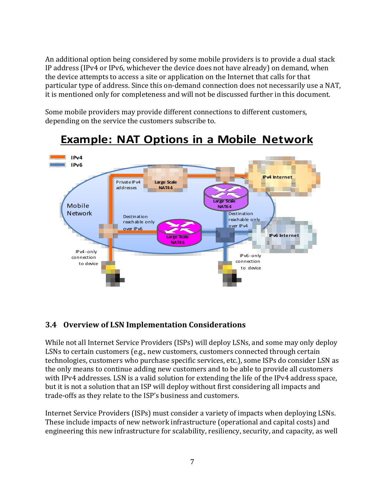An additional option being considered by some mobile providers is to provide a dual stack IP address (IPv4 or IPv6, whichever the device does not have already) on demand, when the device attempts to access a site or application on the Internet that calls for that particular type of address. Since this on-demand connection does not necessarily use a NAT, it is mentioned only for completeness and will not be discussed further in this document.

Some mobile providers may provide different connections to different customers, depending on the service the customers subscribe to.



# **Example: NAT Options in a Mobile Network**

## **3.4 Overview of LSN Implementation Considerations**

While not all Internet Service Providers (ISPs) will deploy LSNs, and some may only deploy LSNs to certain customers (e.g., new customers, customers connected through certain technologies, customers who purchase specific services, etc.), some ISPs do consider LSN as the only means to continue adding new customers and to be able to provide all customers with IPv4 addresses. LSN is a valid solution for extending the life of the IPv4 address space, but it is not a solution that an ISP will deploy without first considering all impacts and trade-offs as they relate to the ISP's business and customers.

Internet Service Providers (ISPs) must consider a variety of impacts when deploying LSNs. These include impacts of new network infrastructure (operational and capital costs) and engineering this new infrastructure for scalability, resiliency, security, and capacity, as well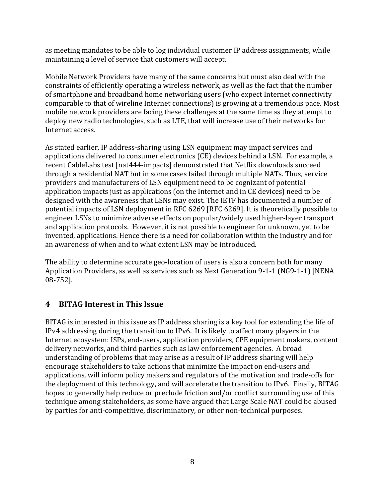as meeting mandates to be able to log individual customer IP address assignments, while maintaining a level of service that customers will accept.

Mobile Network Providers have many of the same concerns but must also deal with the constraints of efficiently operating a wireless network, as well as the fact that the number of smartphone and broadband home networking users (who expect Internet connectivity comparable to that of wireline Internet connections) is growing at a tremendous pace. Most mobile network providers are facing these challenges at the same time as they attempt to deploy new radio technologies, such as LTE, that will increase use of their networks for Internet access.

As stated earlier, IP address-sharing using LSN equipment may impact services and applications delivered to consumer electronics (CE) devices behind a LSN. For example, a recent CableLabs test [nat444-impacts] demonstrated that Netflix downloads succeed through a residential NAT but in some cases failed through multiple NATs. Thus, service providers and manufacturers of LSN equipment need to be cognizant of potential application impacts just as applications (on the Internet and in CE devices) need to be designed with the awareness that LSNs may exist. The IETF has documented a number of potential impacts of LSN deployment in RFC 6269 [RFC 6269]. It is theoretically possible to engineer LSNs to minimize adverse effects on popular/widely used higher-layer transport and application protocols. However, it is not possible to engineer for unknown, yet to be invented, applications. Hence there is a need for collaboration within the industry and for an awareness of when and to what extent LSN may be introduced.

The ability to determine accurate geo-location of users is also a concern both for many Application Providers, as well as services such as Next Generation 9-1-1 (NG9-1-1) [NENA 08-752].

## **4 BITAG Interest in This Issue**

BITAG is interested in this issue as IP address sharing is a key tool for extending the life of IPv4 addressing during the transition to IPv6. It is likely to affect many players in the Internet ecosystem: ISPs, end-users, application providers, CPE equipment makers, content delivery networks, and third parties such as law enforcement agencies. A broad understanding of problems that may arise as a result of IP address sharing will help encourage stakeholders to take actions that minimize the impact on end-users and applications, will inform policy makers and regulators of the motivation and trade-offs for the deployment of this technology, and will accelerate the transition to IPv6. Finally, BITAG hopes to generally help reduce or preclude friction and/or conflict surrounding use of this technique among stakeholders, as some have argued that Large Scale NAT could be abused by parties for anti-competitive, discriminatory, or other non-technical purposes.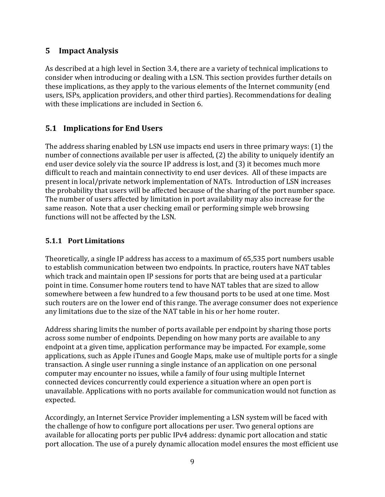## **5 Impact!Analysis**

As described at a high level in Section 3.4, there are a variety of technical implications to consider when introducing or dealing with a LSN. This section provides further details on these implications, as they apply to the various elements of the Internet community (end users, ISPs, application providers, and other third parties). Recommendations for dealing with these implications are included in Section 6.

## **5.1 Implications for End Users**

The address sharing enabled by LSN use impacts end users in three primary ways: (1) the number of connections available per user is affected, (2) the ability to uniquely identify an end user device solely via the source IP address is lost, and (3) it becomes much more difficult to reach and maintain connectivity to end user devices. All of these impacts are present in local/private network implementation of NATs. Introduction of LSN increases the probability that users will be affected because of the sharing of the port number space. The number of users affected by limitation in port availability may also increase for the same reason. Note that a user checking email or performing simple web browsing functions will not be affected by the LSN.

#### **5.1.1 Port!Limitations**

Theoretically, a single IP address has access to a maximum of 65,535 port numbers usable to establish communication between two endpoints. In practice, routers have NAT tables which track and maintain open IP sessions for ports that are being used at a particular point in time. Consumer home routers tend to have NAT tables that are sized to allow somewhere between a few hundred to a few thousand ports to be used at one time. Most such routers are on the lower end of this range. The average consumer does not experience any limitations due to the size of the NAT table in his or her home router.

Address sharing limits the number of ports available per endpoint by sharing those ports across some number of endpoints. Depending on how many ports are available to any endpoint at a given time, application performance may be impacted. For example, some applications, such as Apple iTunes and Google Maps, make use of multiple ports for a single transaction. A single user running a single instance of an application on one personal computer may encounter no issues, while a family of four using multiple Internet connected devices concurrently could experience a situation where an open port is unavailable. Applications with no ports available for communication would not function as expected.

Accordingly, an Internet Service Provider implementing a LSN system will be faced with the challenge of how to configure port allocations per user. Two general options are available for allocating ports per public IPv4 address: dynamic port allocation and static port allocation. The use of a purely dynamic allocation model ensures the most efficient use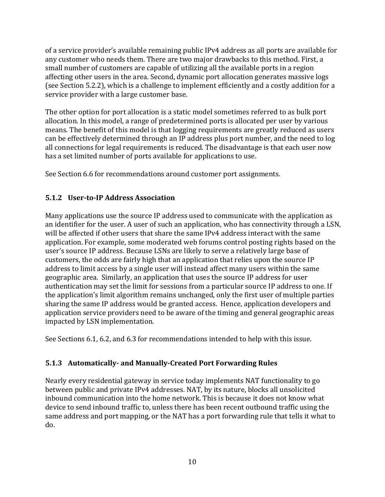of a service provider's available remaining public IPv4 address as all ports are available for any customer who needs them. There are two major drawbacks to this method. First, a small number of customers are capable of utilizing all the available ports in a region affecting other users in the area. Second, dynamic port allocation generates massive logs (see Section 5.2.2), which is a challenge to implement efficiently and a costly addition for a service provider with a large customer base.

The other option for port allocation is a static model sometimes referred to as bulk port allocation. In this model, a range of predetermined ports is allocated per user by various means. The benefit of this model is that logging requirements are greatly reduced as users can be effectively determined through an IP address plus port number, and the need to log all connections for legal requirements is reduced. The disadvantage is that each user now has a set limited number of ports available for applications to use.

See Section 6.6 for recommendations around customer port assignments.

## **5.1.2 User-to-IP Address Association**

Many applications use the source IP address used to communicate with the application as an identifier for the user. A user of such an application, who has connectivity through a LSN, will be affected if other users that share the same IPv4 address interact with the same application. For example, some moderated web forums control posting rights based on the user's source IP address. Because LSNs are likely to serve a relatively large base of customers, the odds are fairly high that an application that relies upon the source IP address to limit access by a single user will instead affect many users within the same geographic area. Similarly, an application that uses the source IP address for user authentication may set the limit for sessions from a particular source IP address to one. If the application's limit algorithm remains unchanged, only the first user of multiple parties sharing the same IP address would be granted access. Hence, application developers and application service providers need to be aware of the timing and general geographic areas impacted by LSN implementation.

See Sections 6.1, 6.2, and 6.3 for recommendations intended to help with this issue.

## **5.1.3 Automatically; and!Manually;Created!Port!Forwarding Rules**

Nearly every residential gateway in service today implements NAT functionality to go" between public and private IPv4 addresses. NAT, by its nature, blocks all unsolicited inbound communication into the home network. This is because it does not know what device to send inbound traffic to, unless there has been recent outbound traffic using the same address and port mapping, or the NAT has a port forwarding rule that tells it what to do.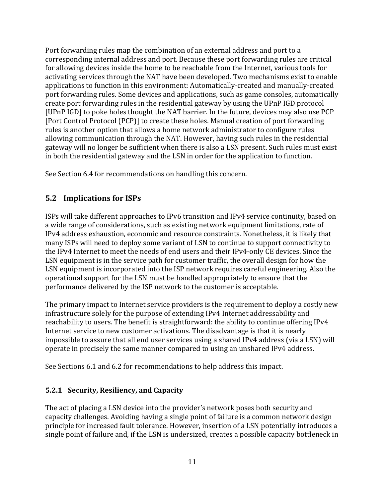Port forwarding rules map the combination of an external address and port to a corresponding internal address and port. Because these port forwarding rules are critical for allowing devices inside the home to be reachable from the Internet, various tools for activating services through the NAT have been developed. Two mechanisms exist to enable applications to function in this environment: Automatically-created and manually-created port forwarding rules. Some devices and applications, such as game consoles, automatically create port forwarding rules in the residential gateway by using the UPnP IGD protocol [UPnP IGD] to poke holes thought the NAT barrier. In the future, devices may also use PCP [Port Control Protocol (PCP)] to create these holes. Manual creation of port forwarding rules is another option that allows a home network administrator to configure rules allowing communication through the NAT. However, having such rules in the residential gateway will no longer be sufficient when there is also a LSN present. Such rules must exist in both the residential gateway and the LSN in order for the application to function.

See Section 6.4 for recommendations on handling this concern.

## **5.2** Implications for ISPs

ISPs will take different approaches to IPv6 transition and IPv4 service continuity, based on a wide range of considerations, such as existing network equipment limitations, rate of IPv4 address exhaustion, economic and resource constraints. Nonetheless, it is likely that many ISPs will need to deploy some variant of LSN to continue to support connectivity to the IPv4 Internet to meet the needs of end users and their IPv4-only CE devices. Since the LSN equipment is in the service path for customer traffic, the overall design for how the LSN equipment is incorporated into the ISP network requires careful engineering. Also the operational support for the LSN must be handled appropriately to ensure that the performance delivered by the ISP network to the customer is acceptable.

The primary impact to Internet service providers is the requirement to deploy a costly new" infrastructure solely for the purpose of extending IPv4 Internet addressability and reachability to users. The benefit is straightforward: the ability to continue offering IPv4 Internet service to new customer activations. The disadvantage is that it is nearly impossible to assure that all end user services using a shared IPv4 address (via a LSN) will operate in precisely the same manner compared to using an unshared IPv4 address.

See Sections 6.1 and 6.2 for recommendations to help address this impact.

#### **5.2.1 Security, Resiliency, and Capacity**

The act of placing a LSN device into the provider's network poses both security and capacity challenges. Avoiding having a single point of failure is a common network design principle for increased fault tolerance. However, insertion of a LSN potentially introduces a single point of failure and, if the LSN is undersized, creates a possible capacity bottleneck in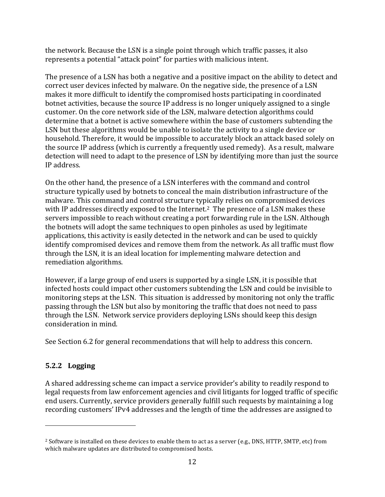the network. Because the LSN is a single point through which traffic passes, it also represents a potential "attack point" for parties with malicious intent.

The presence of a LSN has both a negative and a positive impact on the ability to detect and correct user devices infected by malware. On the negative side, the presence of a LSN makes it more difficult to identify the compromised hosts participating in coordinated botnet activities, because the source IP address is no longer uniquely assigned to a single customer. On the core network side of the LSN, malware detection algorithms could determine that a botnet is active somewhere within the base of customers subtending the LSN but these algorithms would be unable to isolate the activity to a single device or household. Therefore, it would be impossible to accurately block an attack based solely on the source IP address (which is currently a frequently used remedy). As a result, malware detection will need to adapt to the presence of LSN by identifying more than just the source IP address.

On the other hand, the presence of a LSN interferes with the command and control structure typically used by botnets to conceal the main distribution infrastructure of the malware. This command and control structure typically relies on compromised devices with IP addresses directly exposed to the Internet.<sup>2</sup> The presence of a LSN makes these servers impossible to reach without creating a port forwarding rule in the LSN. Although the botnets will adopt the same techniques to open pinholes as used by legitimate applications, this activity is easily detected in the network and can be used to quickly identify compromised devices and remove them from the network. As all traffic must flow through the LSN, it is an ideal location for implementing malware detection and remediation algorithms.

However, if a large group of end users is supported by a single LSN, it is possible that infected hosts could impact other customers subtending the LSN and could be invisible to monitoring steps at the LSN. This situation is addressed by monitoring not only the traffic passing through the LSN but also by monitoring the traffic that does not need to pass through the LSN. Network service providers deploying LSNs should keep this design consideration in mind.

See Section 6.2 for general recommendations that will help to address this concern.

## **5.2.2 Logging**

"""""""""""""""""""""""""""""""""""""""""""""""""""""""

A shared addressing scheme can impact a service provider's ability to readily respond to legal requests from law enforcement agencies and civil litigants for logged traffic of specific end users. Currently, service providers generally fulfill such requests by maintaining a log recording customers' IPv4 addresses and the length of time the addresses are assigned to

<sup>&</sup>lt;sup>2</sup> Software is installed on these devices to enable them to act as a server (e.g., DNS, HTTP, SMTP, etc) from which malware updates are distributed to compromised hosts.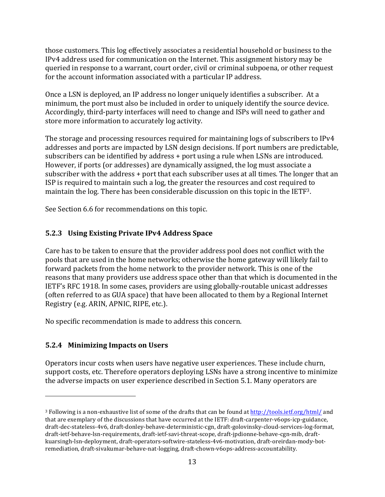those customers. This log effectively associates a residential household or business to the IPv4 address used for communication on the Internet. This assignment history may be queried in response to a warrant, court order, civil or criminal subpoena, or other request for the account information associated with a particular IP address.

Once a LSN is deployed, an IP address no longer uniquely identifies a subscriber. At a minimum, the port must also be included in order to uniquely identify the source device. Accordingly, third-party interfaces will need to change and ISPs will need to gather and store more information to accurately log activity.

The storage and processing resources required for maintaining logs of subscribers to IPv4 addresses and ports are impacted by LSN design decisions. If port numbers are predictable, subscribers can be identified by address + port using a rule when LSNs are introduced. However, if ports (or addresses) are dynamically assigned, the log must associate a subscriber with the address + port that each subscriber uses at all times. The longer that an ISP is required to maintain such a log, the greater the resources and cost required to maintain the log. There has been considerable discussion on this topic in the IETF<sup>3</sup>.

See Section 6.6 for recommendations on this topic.

#### **5.2.3** Using Existing Private IPv4 Address Space

Care has to be taken to ensure that the provider address pool does not conflict with the pools that are used in the home networks; otherwise the home gateway will likely fail to forward packets from the home network to the provider network. This is one of the reasons that many providers use address space other than that which is documented in the IETF's RFC 1918. In some cases, providers are using globally-routable unicast addresses (often referred to as GUA space) that have been allocated to them by a Regional Internet Registry (e.g. ARIN, APNIC, RIPE, etc.).

No specific recommendation is made to address this concern.

#### **5.2.4 Minimizing Impacts on Users**

"""""""""""""""""""""""""""""""""""""""""""""""""""""""

Operators incur costs when users have negative user experiences. These include churn, support costs, etc. Therefore operators deploying LSNs have a strong incentive to minimize the adverse impacts on user experience described in Section 5.1. Many operators are

<sup>&</sup>lt;sup>3</sup> Following is a non-exhaustive list of some of the drafts that can be found at http://tools.ietf.org/html/ and that are exemplary of the discussions that have occurred at the IETF: draft-carpenter-v6ops-icp-guidance, draft-dec-stateless-4v6, draft-donley-behave-deterministic-cgn, draft-golovinsky-cloud-services-log-format, draft-ietf-behave-lsn-requirements, draft-ietf-savi-threat-scope, draft-jpdionne-behave-cgn-mib, draftkuarsingh-lsn-deployment, draft-operators-softwire-stateless-4v6-motivation, draft-oreirdan-mody-botremediation, draft-sivakumar-behave-nat-logging, draft-chown-v6ops-address-accountability.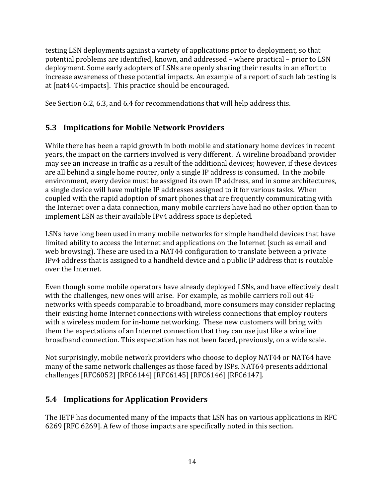testing LSN deployments against a variety of applications prior to deployment, so that potential problems are identified, known, and addressed – where practical – prior to LSN deployment. Some early adopters of LSNs are openly sharing their results in an effort to increase awareness of these potential impacts. An example of a report of such lab testing is at [nat444-impacts]. This practice should be encouraged.

See Section 6.2, 6.3, and 6.4 for recommendations that will help address this.

## **5.3 Implications for Mobile Network Providers**

While there has been a rapid growth in both mobile and stationary home devices in recent years, the impact on the carriers involved is very different. A wireline broadband provider may see an increase in traffic as a result of the additional devices; however, if these devices are all behind a single home router, only a single IP address is consumed. In the mobile environment, every device must be assigned its own IP address, and in some architectures, a single device will have multiple IP addresses assigned to it for various tasks. When coupled with the rapid adoption of smart phones that are frequently communicating with the Internet over a data connection, many mobile carriers have had no other option than to implement LSN as their available IPv4 address space is depleted.

LSNs have long been used in many mobile networks for simple handheld devices that have limited ability to access the Internet and applications on the Internet (such as email and web browsing). These are used in a NAT44 configuration to translate between a private IPv4 address that is assigned to a handheld device and a public IP address that is routable over the Internet.

Even though some mobile operators have already deployed LSNs, and have effectively dealt with the challenges, new ones will arise. For example, as mobile carriers roll out 4G networks with speeds comparable to broadband, more consumers may consider replacing their existing home Internet connections with wireless connections that employ routers with a wireless modem for in-home networking. These new customers will bring with them the expectations of an Internet connection that they can use just like a wireline broadband connection. This expectation has not been faced, previously, on a wide scale.

Not surprisingly, mobile network providers who choose to deploy NAT44 or NAT64 have many of the same network challenges as those faced by ISPs. NAT64 presents additional challenges [RFC6052] [RFC6144] [RFC6145] [RFC6146] [RFC6147].""

## **5.4 Implications for Application Providers**

The IETF has documented many of the impacts that LSN has on various applications in RFC 6269 [RFC 6269]. A few of those impacts are specifically noted in this section.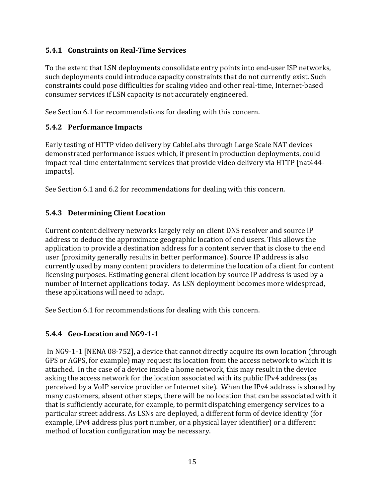#### **5.4.1 Constraints!on!Real;Time!Services**

To the extent that LSN deployments consolidate entry points into end-user ISP networks, such deployments could introduce capacity constraints that do not currently exist. Such constraints could pose difficulties for scaling video and other real-time, Internet-based consumer services if LSN capacity is not accurately engineered.

See Section 6.1 for recommendations for dealing with this concern.

#### **5.4.2 Performance Impacts**

Early testing of HTTP video delivery by CableLabs through Large Scale NAT devices demonstrated performance issues which, if present in production deployments, could impact real-time entertainment services that provide video delivery via HTTP [nat444impacts].

See Section 6.1 and 6.2 for recommendations for dealing with this concern.

#### **5.4.3 Determining Client Location**

Current content delivery networks largely rely on client DNS resolver and source IP" address to deduce the approximate geographic location of end users. This allows the application to provide a destination address for a content server that is close to the end user (proximity generally results in better performance). Source IP address is also currently used by many content providers to determine the location of a client for content licensing purposes. Estimating general client location by source IP address is used by a number of Internet applications today. As LSN deployment becomes more widespread, these applications will need to adapt.

See Section 6.1 for recommendations for dealing with this concern.

## **5.4.4 Geo-Location and NG9-1-1**

In NG9-1-1 [NENA 08-752], a device that cannot directly acquire its own location (through GPS or AGPS, for example) may request its location from the access network to which it is attached. In the case of a device inside a home network, this may result in the device asking the access network for the location associated with its public IPv4 address (as perceived by a VoIP service provider or Internet site). When the IPv4 address is shared by many customers, absent other steps, there will be no location that can be associated with it that is sufficiently accurate, for example, to permit dispatching emergency services to a particular street address. As LSNs are deployed, a different form of device identity (for example, IPv4 address plus port number, or a physical layer identifier) or a different method of location configuration may be necessary.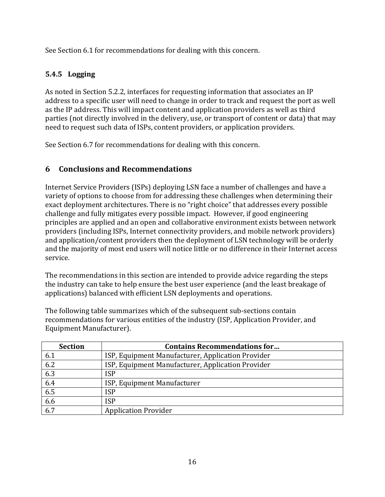See Section 6.1 for recommendations for dealing with this concern.

## **5.4.5 Logging**

As noted in Section 5.2.2, interfaces for requesting information that associates an IP address to a specific user will need to change in order to track and request the port as well as the IP address. This will impact content and application providers as well as third parties (not directly involved in the delivery, use, or transport of content or data) that may need to request such data of ISPs, content providers, or application providers.

See Section 6.7 for recommendations for dealing with this concern.

## **6 Conclusions!and!Recommendations**

Internet Service Providers (ISPs) deploying LSN face a number of challenges and have a variety of options to choose from for addressing these challenges when determining their exact deployment architectures. There is no "right choice" that addresses every possible challenge and fully mitigates every possible impact. However, if good engineering principles are applied and an open and collaborative environment exists between network providers (including ISPs, Internet connectivity providers, and mobile network providers) and application/content providers then the deployment of LSN technology will be orderly and the majority of most end users will notice little or no difference in their Internet access service.

The recommendations in this section are intended to provide advice regarding the steps the industry can take to help ensure the best user experience (and the least breakage of applications) balanced with efficient LSN deployments and operations.

The following table summarizes which of the subsequent sub-sections contain recommendations for various entities of the industry (ISP, Application Provider, and Equipment Manufacturer).

| <b>Section</b> | <b>Contains Recommendations for</b>               |
|----------------|---------------------------------------------------|
| 6.1            | ISP, Equipment Manufacturer, Application Provider |
| 6.2            | ISP, Equipment Manufacturer, Application Provider |
| 6.3            | <b>ISP</b>                                        |
| 6.4            | ISP, Equipment Manufacturer                       |
| 6.5            | <b>ISP</b>                                        |
| 6.6            | <b>ISP</b>                                        |
| 6.7            | <b>Application Provider</b>                       |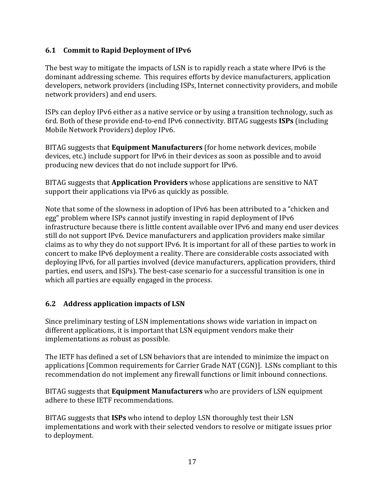#### **6.1 Commit to Rapid Deployment of IPv6**

The best way to mitigate the impacts of LSN is to rapidly reach a state where IPv6 is the dominant addressing scheme. This requires efforts by device manufacturers, application developers, network providers (including ISPs, Internet connectivity providers, and mobile network providers) and end users.

ISPs can deploy IPv6 either as a native service or by using a transition technology, such as 6rd. Both of these provide end-to-end IPv6 connectivity. BITAG suggests **ISPs** (including Mobile Network Providers) deploy IPv6.

BITAG suggests that **Equipment Manufacturers** (for home network devices, mobile devices, etc.) include support for IPv6 in their devices as soon as possible and to avoid producing new devices that do not include support for IPv6.

BITAG suggests that **Application Providers** whose applications are sensitive to NAT support their applications via IPv6 as quickly as possible.

Note that some of the slowness in adoption of IPv6 has been attributed to a "chicken and" egg" problem where ISPs cannot justify investing in rapid deployment of IPv6 infrastructure because there is little content available over IPv6 and many end user devices still do not support IPv6. Device manufacturers and application providers make similar claims as to why they do not support IPv6. It is important for all of these parties to work in concert to make IPv6 deployment a reality. There are considerable costs associated with deploying IPv6, for all parties involved (device manufacturers, application providers, third parties, end users, and ISPs). The best-case scenario for a successful transition is one in which all parties are equally engaged in the process.

#### **6.2 Address application impacts of LSN**

Since preliminary testing of LSN implementations shows wide variation in impact on different applications, it is important that LSN equipment vendors make their implementations as robust as possible.

The IETF has defined a set of LSN behaviors that are intended to minimize the impact on applications [Common requirements for Carrier Grade NAT (CGN)]. LSNs compliant to this recommendation do not implement any firewall functions or limit inbound connections.

BITAG suggests that **Equipment Manufacturers** who are providers of LSN equipment adhere to these IETF recommendations.

BITAG suggests that **ISPs** who intend to deploy LSN thoroughly test their LSN implementations and work with their selected vendors to resolve or mitigate issues prior to deployment.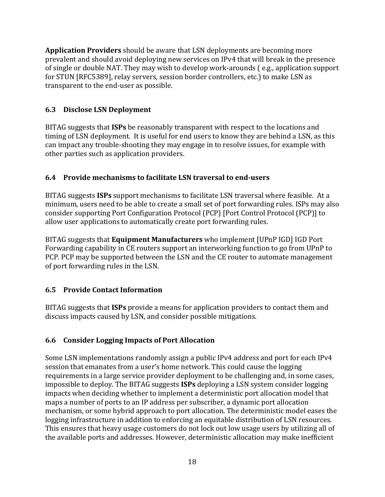**Application Providers** should be aware that LSN deployments are becoming more prevalent and should avoid deploying new services on IPv4 that will break in the presence of single or double NAT. They may wish to develop work-arounds (e.g., application support) for STUN [RFC5389], relay servers, session border controllers, etc.) to make LSN as transparent to the end-user as possible.

#### **6.3** Disclose LSN Deployment

BITAG suggests that **ISPs** be reasonably transparent with respect to the locations and timing of LSN deployment. It is useful for end users to know they are behind a LSN, as this can impact any trouble-shooting they may engage in to resolve issues, for example with other parties such as application providers.

## **6.4 Provide mechanisms to facilitate LSN traversal to end-users**

BITAG suggests **ISPs** support mechanisms to facilitate LSN traversal where feasible. At a minimum, users need to be able to create a small set of port forwarding rules. ISPs may also consider supporting Port Configuration Protocol (PCP) [Port Control Protocol (PCP)] to allow user applications to automatically create port forwarding rules.

BITAG suggests that **Equipment Manufacturers** who implement [UPnP IGD] IGD Port Forwarding capability in CE routers support an interworking function to go from UPnP to PCP. PCP may be supported between the LSN and the CE router to automate management of port forwarding rules in the LSN.

## **6.5** Provide Contact Information

BITAG suggests that **ISPs** provide a means for application providers to contact them and discuss impacts caused by LSN, and consider possible mitigations.

## **6.6 Consider Logging Impacts of Port Allocation**

Some LSN implementations randomly assign a public IPv4 address and port for each IPv4 session that emanates from a user's home network. This could cause the logging requirements in a large service provider deployment to be challenging and, in some cases, impossible to deploy. The BITAG suggests **ISPs** deploying a LSN system consider logging impacts when deciding whether to implement a deterministic port allocation model that maps a number of ports to an IP address per subscriber, a dynamic port allocation mechanism, or some hybrid approach to port allocation. The deterministic model eases the logging infrastructure in addition to enforcing an equitable distribution of LSN resources. This ensures that heavy usage customers do not lock out low usage users by utilizing all of the available ports and addresses. However, deterministic allocation may make inefficient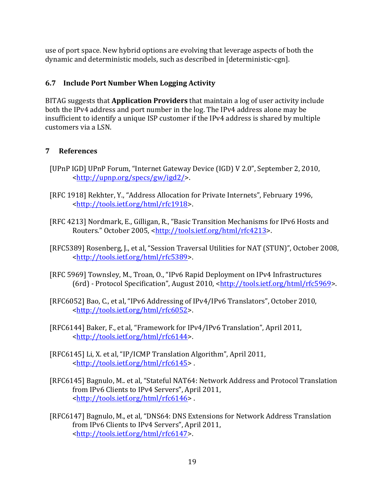use of port space. New hybrid options are evolving that leverage aspects of both the dynamic and deterministic models, such as described in [deterministic-cgn].

#### **6.7** Include Port Number When Logging Activity

BITAG suggests that **Application Providers** that maintain a log of user activity include both the IPv4 address and port number in the log. The IPv4 address alone may be insufficient to identify a unique ISP customer if the IPv4 address is shared by multiple customers via a LSN.

#### **7 References**

- [UPnP IGD] UPnP Forum, "Internet Gateway Device (IGD) V 2.0", September 2, 2010, <http://upnp.org/specs/gw/igd2/>.
- [RFC 1918] Rekhter, Y., "Address Allocation for Private Internets", February 1996, <http://tools.ietf.org/html/rfc1918>."
- [RFC 4213] Nordmark, E., Gilligan, R., "Basic Transition Mechanisms for IPv6 Hosts and Routers." October 2005, <http://tools.ietf.org/html/rfc4213>.
- [RFC5389] Rosenberg, J., et al, "Session Traversal Utilities for NAT (STUN)", October 2008, <http://tools.ietf.org/html/rfc5389>."
- [RFC 5969] Townsley, M., Troan, O., "IPv6 Rapid Deployment on IPv4 Infrastructures (6rd) - Protocol Specification", August 2010, <http://tools.ietf.org/html/rfc5969>.
- [RFC6052] Bao, C., et al, "IPv6 Addressing of IPv4/IPv6 Translators", October 2010, <http://tools.ietf.org/html/rfc6052>.
- [RFC6144] Baker, F., et al, "Framework for IPv4/IPv6 Translation", April 2011, <http://tools.ietf.org/html/rfc6144>."
- [RFC6145] Li, X. et al, "IP/ICMP Translation Algorithm", April 2011, <http://tools.ietf.org/html/rfc6145> .
- [RFC6145] Bagnulo, M.. et al, "Stateful NAT64: Network Address and Protocol Translation from IPv6 Clients to IPv4 Servers", April 2011, <http://tools.ietf.org/html/rfc6146>".
- [RFC6147] Bagnulo, M., et al, "DNS64: DNS Extensions for Network Address Translation from IPv6 Clients to IPv4 Servers", April 2011, <http://tools.ietf.org/html/rfc6147>.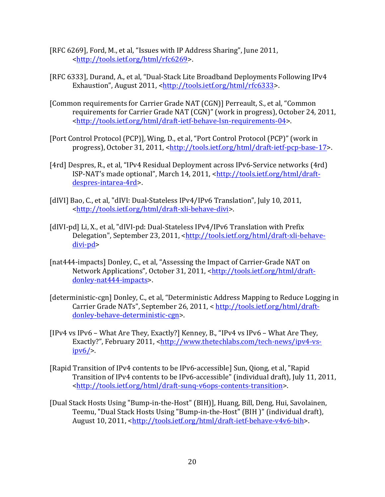- [RFC 6269], Ford, M., et al, "Issues with IP Address Sharing", June 2011, <http://tools.ietf.org/html/rfc6269>.
- [RFC 6333], Durand, A., et al, "Dual-Stack Lite Broadband Deployments Following IPv4 Exhaustion", August 2011, <http://tools.ietf.org/html/rfc6333>.
- [Common requirements for Carrier Grade NAT (CGN)] Perreault, S., et al, "Common requirements for Carrier Grade NAT (CGN)" (work in progress), October 24, 2011, <http://tools.ietf.org/html/draft-ietf-behave-lsn-requirements-04>.
- [Port Control Protocol (PCP)], Wing, D., et al, "Port Control Protocol (PCP)" (work in progress), October 31, 2011, <http://tools.ietf.org/html/draft-ietf-pcp-base-17>.
- [4rd] Despres, R., et al, "IPv4 Residual Deployment across IPv6-Service networks (4rd) ISP-NAT's made optional", March 14, 2011, <http://tools.ietf.org/html/draftdespres-intarea-4rd>.
- [dIVI] Bao, C., et al, "dIVI: Dual-Stateless IPv4/IPv6 Translation", July 10, 2011, <http://tools.ietf.org/html/draft-xli-behave-divi>.
- [dIVI-pd] Li, X., et al, "dIVI-pd: Dual-Stateless IPv4/IPv6 Translation with Prefix Delegation", September 23, 2011, <http://tools.ietf.org/html/draft-xli-behave $divi-pd$
- [nat444-impacts] Donley, C., et al, "Assessing the Impact of Carrier-Grade NAT on Network Applications", October 31, 2011, <http://tools.ietf.org/html/draftdonley-nat444-impacts>.
- [deterministic-cgn] Donley, C., et al, "Deterministic Address Mapping to Reduce Logging in Carrier Grade NATs", September 26, 2011, < http://tools.ietf.org/html/draftdonley-behave-deterministic-cgn>.
- [IPv4 vs IPv6 What Are They, Exactly?] Kenney, B., "IPv4 vs IPv6 What Are They, Exactly?", February 2011, <http://www.thetechlabs.com/tech-news/ipv4-vsipv $6$ />.
- [Rapid Transition of IPv4 contents to be IPv6-accessible] Sun, Qiong, et al, "Rapid" Transition of IPv4 contents to be IPv6-accessible" (individual draft), July 11, 2011,  $\frac{\text{th}}{\text{t}}/1$ /tools.ietf.org/html/draft-sunq-v6ops-contents-transition>.
- [Dual Stack Hosts Using "Bump-in-the-Host" (BIH)], Huang, Bill, Deng, Hui, Savolainen, Teemu, "Dual Stack Hosts Using "Bump-in-the-Host" (BIH)" (individual draft), August 10, 2011, <http://tools.ietf.org/html/draft-ietf-behave-v4v6-bih>.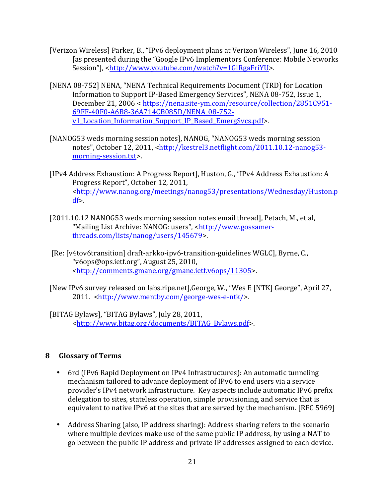- [Verizon Wireless] Parker, B., "IPv6 deployment plans at Verizon Wireless", June 16, 2010 [as presented during the "Google IPv6 Implementors Conference: Mobile Networks" Session"], <http://www.youtube.com/watch?v=1GlRgaFriYU>.
- [NENA 08-752] NENA, "NENA Technical Requirements Document (TRD) for Location Information to Support IP-Based Emergency Services", NENA 08-752, Issue 1, December 21, 2006 < https://nena.site-ym.com/resource/collection/2851C951-69FF-40F0-A6B8-36A714CB085D/NENA\_08-752v1\_Location\_Information\_Support\_IP\_Based\_EmergSvcs.pdf>."
- [NANOG53 weds morning session notes], NANOG, "NANOG53 weds morning session notes", October 12, 2011, <http://kestrel3.netflight.com/2011.10.12-nanog53morning-session.txt>.
- [IPv4 Address Exhaustion: A Progress Report], Huston, G., "IPv4 Address Exhaustion: A Progress Report", October 12, 2011, <http://www.nanog.org/meetings/nanog53/presentations/Wednesday/Huston.p  $df$ .
- [2011.10.12 NANOG53 weds morning session notes email thread], Petach, M., et al, "Mailing List Archive: NANOG: users", <http://www.gossamerthreads.com/lists/nanog/users/145679>.
- [Re: [v4tov6transition] draft-arkko-ipv6-transition-guidelines WGLC], Byrne, C., "v6ops@ops.ietf.org", August 25, 2010, <http://comments.gmane.org/gmane.ietf.v6ops/11305>.
- [New IPv6 survey released on labs.ripe.net],George, W., "Wes E [NTK] George", April 27, 2011. <http://www.mentby.com/george-wes-e-ntk/>.
- [BITAG Bylaws], "BITAG Bylaws", July 28, 2011, <http://www.bitag.org/documents/BITAG\_Bylaws.pdf>."

#### **8 Glossary!of!Terms**

- 6rd (IPv6 Rapid Deployment on IPv4 Infrastructures): An automatic tunneling mechanism tailored to advance deployment of IPv6 to end users via a service provider's IPv4 network infrastructure. Key aspects include automatic IPv6 prefix delegation to sites, stateless operation, simple provisioning, and service that is equivalent to native IPv6 at the sites that are served by the mechanism. [RFC 5969]
- Address Sharing (also, IP address sharing): Address sharing refers to the scenario where multiple devices make use of the same public IP address, by using a NAT to go between the public IP address and private IP addresses assigned to each device.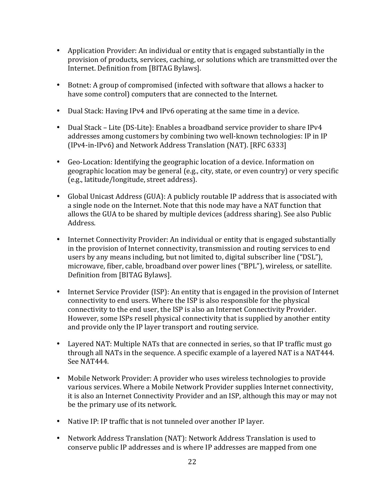- Application Provider: An individual or entity that is engaged substantially in the provision of products, services, caching, or solutions which are transmitted over the Internet. Definition from [BITAG Bylaws].
- Botnet: A group of compromised (infected with software that allows a hacker to have some control) computers that are connected to the Internet.
- Dual Stack: Having IPv4 and IPv6 operating at the same time in a device.
- Dual Stack Lite (DS-Lite): Enables a broadband service provider to share IPv4 addresses among customers by combining two well-known technologies: IP in IP (IPv4-in-IPv6) and Network Address Translation (NAT). [RFC 6333]
- Geo-Location: Identifying the geographic location of a device. Information on geographic location may be general (e.g., city, state, or even country) or very specific (e.g., latitude/longitude, street address).
- Global Unicast Address (GUA): A publicly routable IP address that is associated with a single node on the Internet. Note that this node may have a NAT function that allows the GUA to be shared by multiple devices (address sharing). See also Public Address.
- Internet Connectivity Provider: An individual or entity that is engaged substantially in the provision of Internet connectivity, transmission and routing services to end users by any means including, but not limited to, digital subscriber line ("DSL"), microwave, fiber, cable, broadband over power lines ("BPL"), wireless, or satellite. Definition from [BITAG Bylaws].
- Internet Service Provider (ISP): An entity that is engaged in the provision of Internet connectivity to end users. Where the ISP is also responsible for the physical connectivity to the end user, the ISP is also an Internet Connectivity Provider. However, some ISPs resell physical connectivity that is supplied by another entity and provide only the IP layer transport and routing service.
- Layered NAT: Multiple NATs that are connected in series, so that IP traffic must go through all NATs in the sequence. A specific example of a layered NAT is a NAT444. See NAT444.
- Mobile Network Provider: A provider who uses wireless technologies to provide various services. Where a Mobile Network Provider supplies Internet connectivity, it is also an Internet Connectivity Provider and an ISP, although this may or may not be the primary use of its network.
- Native IP: IP traffic that is not tunneled over another IP layer.
- Network Address Translation (NAT): Network Address Translation is used to conserve public IP addresses and is where IP addresses are mapped from one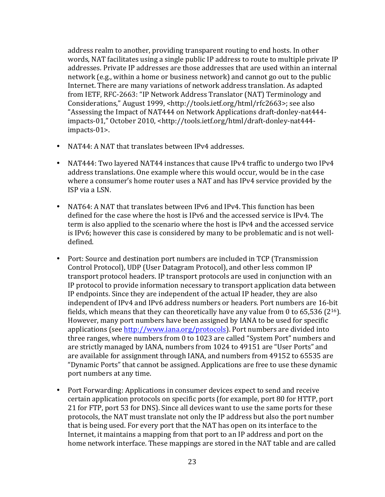address realm to another, providing transparent routing to end hosts. In other words, NAT facilitates using a single public IP address to route to multiple private IP addresses. Private IP addresses are those addresses that are used within an internal network (e.g., within a home or business network) and cannot go out to the public Internet. There are many variations of network address translation. As adapted from IETF, RFC-2663: "IP Network Address Translator (NAT) Terminology and Considerations," August 1999, <http://tools.ietf.org/html/rfc2663>; see also "Assessing the Impact of NAT444 on Network Applications draft-donley-nat444impacts-01," October 2010, <http://tools.ietf.org/html/draft-donley-nat444 $impacts-01$  $\geq$ .

- NAT44: A NAT that translates between IPv4 addresses.
- NAT444: Two layered NAT44 instances that cause IPv4 traffic to undergo two IPv4 address translations. One example where this would occur, would be in the case where a consumer's home router uses a NAT and has  $IPv4$  service provided by the ISP via a LSN.
- NAT64: A NAT that translates between IPv6 and IPv4. This function has been defined for the case where the host is IPv6 and the accessed service is IPv4. The term is also applied to the scenario where the host is IPv4 and the accessed service is IPv6; however this case is considered by many to be problematic and is not welldefined.
- Port: Source and destination port numbers are included in TCP (Transmission Control Protocol), UDP (User Datagram Protocol), and other less common IP transport protocol headers. IP transport protocols are used in conjunction with an IP protocol to provide information necessary to transport application data between IP endpoints. Since they are independent of the actual IP header, they are also independent of IPv4 and IPv6 address numbers or headers. Port numbers are 16-bit fields, which means that they can theoretically have any value from 0 to 65,536 (2<sup>16</sup>). However, many port numbers have been assigned by IANA to be used for specific applications (see http://www.iana.org/protocols). Port numbers are divided into three ranges, where numbers from 0 to 1023 are called "System Port" numbers and are strictly managed by IANA, numbers from 1024 to 49151 are "User Ports" and are available for assignment through IANA, and numbers from 49152 to 65535 are "Dynamic Ports" that cannot be assigned. Applications are free to use these dynamic port numbers at any time.
- Port Forwarding: Applications in consumer devices expect to send and receive certain application protocols on specific ports (for example, port 80 for HTTP, port 21 for FTP, port 53 for DNS). Since all devices want to use the same ports for these protocols, the NAT must translate not only the IP address but also the port number that is being used. For every port that the NAT has open on its interface to the Internet, it maintains a mapping from that port to an IP address and port on the home network interface. These mappings are stored in the NAT table and are called